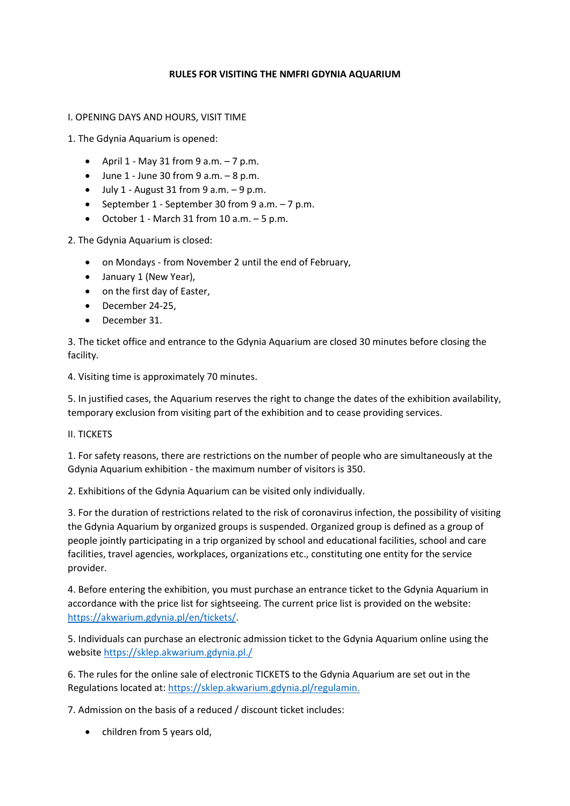## **RULES FOR VISITING THE NMFRI GDYNIA AQUARIUM**

I. OPENING DAYS AND HOURS, VISIT TIME

1. The Gdynia Aquarium is opened:

- April  $1$  May 31 from 9 a.m.  $-7$  p.m.
- $\bullet$  June 1 June 30 from 9 a.m.  $-8$  p.m.
- $\bullet$  July 1 August 31 from 9 a.m.  $-9$  p.m.
- September 1 September 30 from 9 a.m.  $-7$  p.m.
- $\bullet$  October 1 March 31 from 10 a.m.  $-5$  p.m.

2. The Gdynia Aquarium is closed:

- on Mondays from November 2 until the end of February,
- January 1 (New Year),
- on the first day of Easter,
- December 24-25,
- December 31.

3. The ticket office and entrance to the Gdynia Aquarium are closed 30 minutes before closing the facility.

4. Visiting time is approximately 70 minutes.

5. In justified cases, the Aquarium reserves the right to change the dates of the exhibition availability, temporary exclusion from visiting part of the exhibition and to cease providing services.

II. TICKETS

1. For safety reasons, there are restrictions on the number of people who are simultaneously at the Gdynia Aquarium exhibition - the maximum number of visitors is 350.

2. Exhibitions of the Gdynia Aquarium can be visited only individually.

3. For the duration of restrictions related to the risk of coronavirus infection, the possibility of visiting the Gdynia Aquarium by organized groups is suspended. Organized group is defined as a group of people jointly participating in a trip organized by school and educational facilities, school and care facilities, travel agencies, workplaces, organizations etc., constituting one entity for the service provider.

4. Before entering the exhibition, you must purchase an entrance ticket to the Gdynia Aquarium in accordance with the price list for sightseeing. The current price list is provided on the website: [https://akwarium.gdynia.pl/en/tickets/.](https://akwarium.gdynia.pl/en/tickets/)

5. Individuals can purchase an electronic admission ticket to the Gdynia Aquarium online using the websit[e https://sklep.akwarium.gdynia.pl./](https://sklep.akwarium.gdynia.pl./)

6. The rules for the online sale of electronic TICKETS to the Gdynia Aquarium are set out in the Regulations located at[: https://sklep.akwarium.gdynia.pl/regulamin.](https://sklep.akwarium.gdynia.pl/regulamin.)

7. Admission on the basis of a reduced / discount ticket includes:

• children from 5 years old,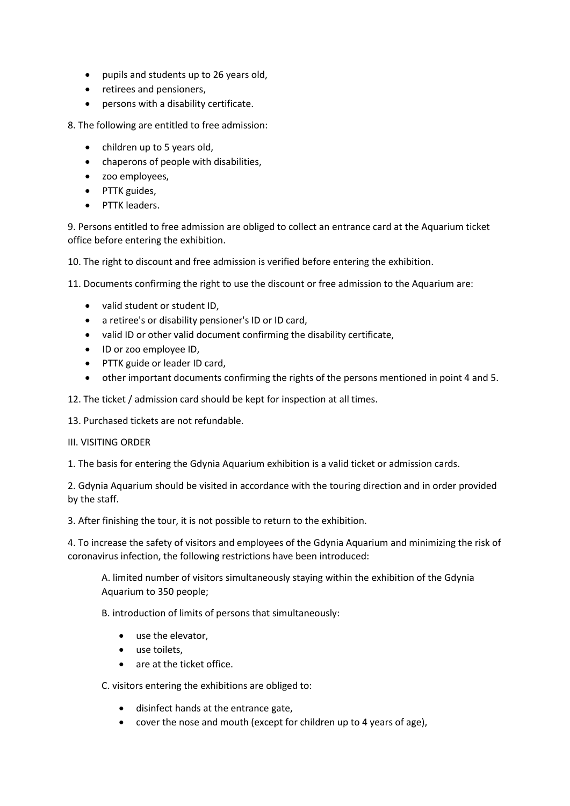- pupils and students up to 26 years old,
- retirees and pensioners,
- persons with a disability certificate.

8. The following are entitled to free admission:

- children up to 5 years old,
- chaperons of people with disabilities,
- zoo employees,
- PTTK guides,
- PTTK leaders.

9. Persons entitled to free admission are obliged to collect an entrance card at the Aquarium ticket office before entering the exhibition.

10. The right to discount and free admission is verified before entering the exhibition.

11. Documents confirming the right to use the discount or free admission to the Aquarium are:

- valid student or student ID,
- a retiree's or disability pensioner's ID or ID card,
- valid ID or other valid document confirming the disability certificate,
- ID or zoo employee ID,
- PTTK guide or leader ID card,
- other important documents confirming the rights of the persons mentioned in point 4 and 5.
- 12. The ticket / admission card should be kept for inspection at all times.
- 13. Purchased tickets are not refundable.

## III. VISITING ORDER

1. The basis for entering the Gdynia Aquarium exhibition is a valid ticket or admission cards.

2. Gdynia Aquarium should be visited in accordance with the touring direction and in order provided by the staff.

3. After finishing the tour, it is not possible to return to the exhibition.

4. To increase the safety of visitors and employees of the Gdynia Aquarium and minimizing the risk of coronavirus infection, the following restrictions have been introduced:

A. limited number of visitors simultaneously staying within the exhibition of the Gdynia Aquarium to 350 people;

B. introduction of limits of persons that simultaneously:

- use the elevator,
- use toilets.
- are at the ticket office.

C. visitors entering the exhibitions are obliged to:

- disinfect hands at the entrance gate,
- cover the nose and mouth (except for children up to 4 years of age),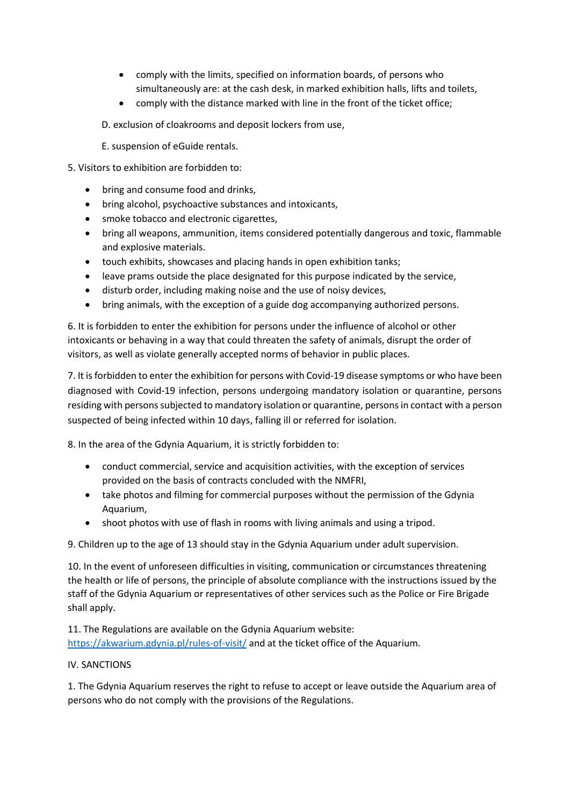- comply with the limits, specified on information boards, of persons who simultaneously are: at the cash desk, in marked exhibition halls, lifts and toilets,
- comply with the distance marked with line in the front of the ticket office;
- D. exclusion of cloakrooms and deposit lockers from use,
- E. suspension of eGuide rentals.
- 5. Visitors to exhibition are forbidden to:
	- bring and consume food and drinks.
	- bring alcohol, psychoactive substances and intoxicants,
	- smoke tobacco and electronic cigarettes,
	- bring all weapons, ammunition, items considered potentially dangerous and toxic, flammable and explosive materials.
	- touch exhibits, showcases and placing hands in open exhibition tanks;
	- leave prams outside the place designated for this purpose indicated by the service,
	- disturb order, including making noise and the use of noisy devices,
	- bring animals, with the exception of a guide dog accompanying authorized persons.

6. It is forbidden to enter the exhibition for persons under the influence of alcohol or other intoxicants or behaving in a way that could threaten the safety of animals, disrupt the order of visitors, as well as violate generally accepted norms of behavior in public places.

7. It is forbidden to enter the exhibition for persons with Covid-19 disease symptoms or who have been diagnosed with Covid-19 infection, persons undergoing mandatory isolation or quarantine, persons residing with persons subjected to mandatory isolation or quarantine, persons in contact with a person suspected of being infected within 10 days, falling ill or referred for isolation.

8. In the area of the Gdynia Aquarium, it is strictly forbidden to:

- conduct commercial, service and acquisition activities, with the exception of services provided on the basis of contracts concluded with the NMFRI,
- take photos and filming for commercial purposes without the permission of the Gdynia Aquarium,
- shoot photos with use of flash in rooms with living animals and using a tripod.

9. Children up to the age of 13 should stay in the Gdynia Aquarium under adult supervision.

10. In the event of unforeseen difficulties in visiting, communication or circumstances threatening the health or life of persons, the principle of absolute compliance with the instructions issued by the staff of the Gdynia Aquarium or representatives of other services such as the Police or Fire Brigade shall apply.

11. The Regulations are available on the Gdynia Aquarium website: <https://akwarium.gdynia.pl/rules-of-visit/> and at the ticket office of the Aquarium.

## IV. SANCTIONS

1. The Gdynia Aquarium reserves the right to refuse to accept or leave outside the Aquarium area of persons who do not comply with the provisions of the Regulations.